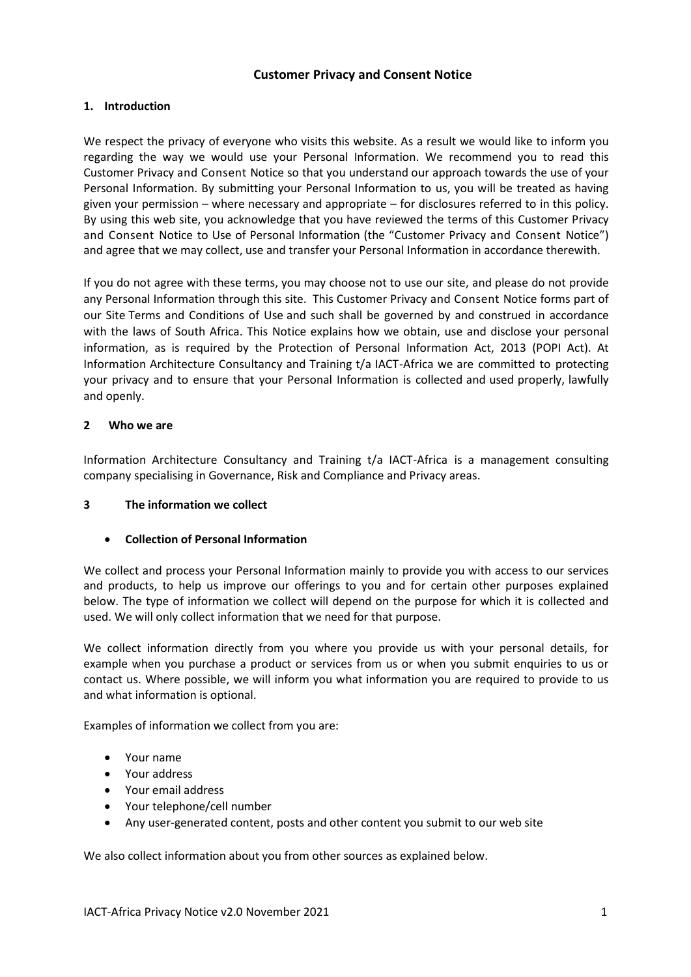# **Customer Privacy and Consent Notice**

## **1. Introduction**

We respect the privacy of everyone who visits this website. As a result we would like to inform you regarding the way we would use your Personal Information. We recommend you to read this Customer Privacy and Consent Notice so that you understand our approach towards the use of your Personal Information. By submitting your Personal Information to us, you will be treated as having given your permission – where necessary and appropriate – for disclosures referred to in this policy. By using this web site, you acknowledge that you have reviewed the terms of this Customer Privacy and Consent Notice to Use of Personal Information (the "Customer Privacy and Consent Notice") and agree that we may collect, use and transfer your Personal Information in accordance therewith.

If you do not agree with these terms, you may choose not to use our site, and please do not provide any Personal Information through this site. This Customer Privacy and Consent Notice forms part of our Site Terms and [Conditions](http://www.bd.com/za/legal/terms.asp) of Use and such shall be governed by and construed in accordance with the laws of South Africa. This Notice explains how we obtain, use and disclose your personal information, as is required by the Protection of Personal Information Act, 2013 (POPI Act). At Information Architecture Consultancy and Training t/a IACT-Africa we are committed to protecting your privacy and to ensure that your Personal Information is collected and used properly, lawfully and openly.

## **2 Who we are**

Information Architecture Consultancy and Training t/a IACT-Africa is a management consulting company specialising in Governance, Risk and Compliance and Privacy areas.

# **3 The information we collect**

# **Collection of Personal Information**

We collect and process your Personal Information mainly to provide you with access to our services and products, to help us improve our offerings to you and for certain other purposes explained below. The type of information we collect will depend on the purpose for which it is collected and used. We will only collect information that we need for that purpose.

We collect information directly from you where you provide us with your personal details, for example when you purchase a product or services from us or when you submit enquiries to us or contact us. Where possible, we will inform you what information you are required to provide to us and what information is optional.

Examples of information we collect from you are:

- Your name
- Your address
- Your email address
- Your telephone/cell number
- Any user-generated content, posts and other content you submit to our web site

We also collect information about you from other sources as explained below.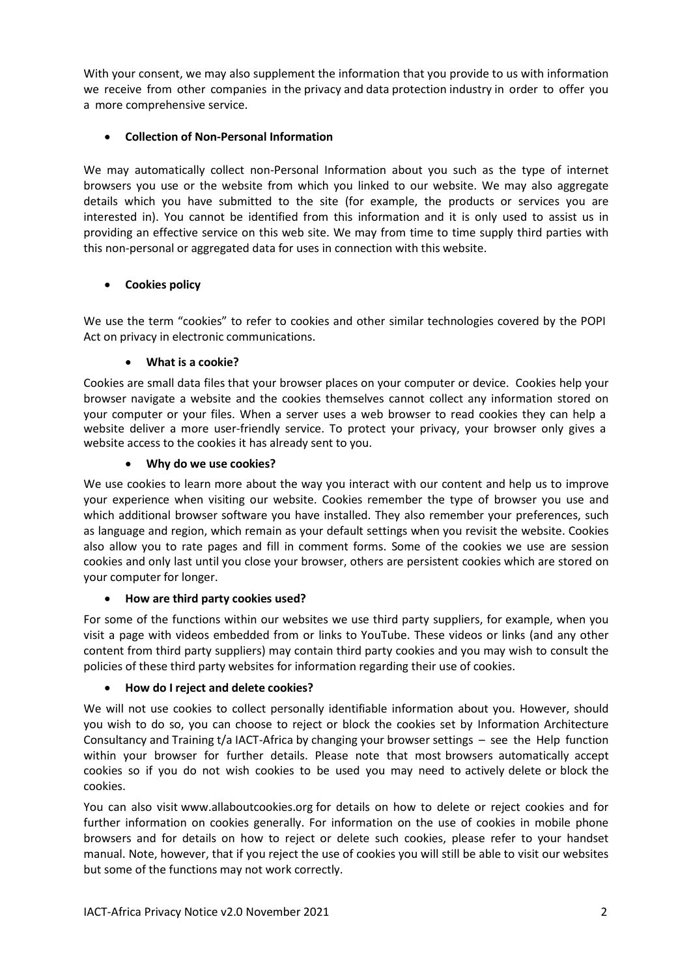With your consent, we may also supplement the information that you provide to us with information we receive from other companies in the privacy and data protection industry in order to offer you a more comprehensive service.

# **Collection of Non-Personal Information**

We may automatically collect non-Personal Information about you such as the type of internet browsers you use or the website from which you linked to our website. We may also aggregate details which you have submitted to the site (for example, the products or services you are interested in). You cannot be identified from this information and it is only used to assist us in providing an effective service on this web site. We may from time to time supply third parties with this non-personal or aggregated data for uses in connection with this website.

# **Cookies policy**

We use the term "cookies" to refer to cookies and other similar technologies covered by the POPI Act on privacy in electronic communications.

# **What is a cookie?**

Cookies are small data files that your browser places on your computer or device. Cookies help your browser navigate a website and the cookies themselves cannot collect any information stored on your computer or your files. When a server uses a web browser to read cookies they can help a website deliver a more user-friendly service. To protect your privacy, your browser only gives a website access to the cookies it has already sent to you.

# **Why do we use cookies?**

We use cookies to learn more about the way you interact with our content and help us to improve your experience when visiting our website. Cookies remember the type of browser you use and which additional browser software you have installed. They also remember your preferences, such as language and region, which remain as your default settings when you revisit the website. Cookies also allow you to rate pages and fill in comment forms. Some of the cookies we use are session cookies and only last until you close your browser, others are persistent cookies which are stored on your computer for longer.

# **How are third party cookies used?**

For some of the functions within our websites we use third party suppliers, for example, when you visit a page with videos embedded from or links to YouTube. These videos or links (and any other content from third party suppliers) may contain third party cookies and you may wish to consult the policies of these third party websites for information regarding their use of cookies.

# **How do I reject and delete cookies?**

We will not use cookies to collect personally identifiable information about you. However, should you wish to do so, you can choose to reject or block the cookies set by Information Architecture Consultancy and Training t/a IACT-Africa by changing your browser settings – see the Help function within your browser for further details. Please note that most browsers automatically accept cookies so if you do not wish cookies to be used you may need to actively delete or block the cookies.

You can also visit [www.allaboutcookies.org](http://www.shell.com/zaf/disclaimer-en.html/aHR0cDovL3d3dy5hbGxhYm91dGNvb2tpZXMub3JnLw==) for details on how to delete or reject cookies and for further information on cookies generally. For information on the use of cookies in mobile phone browsers and for details on how to reject or delete such cookies, please refer to your handset manual. Note, however, that if you reject the use of cookies you will still be able to visit our websites but some of the functions may not work correctly.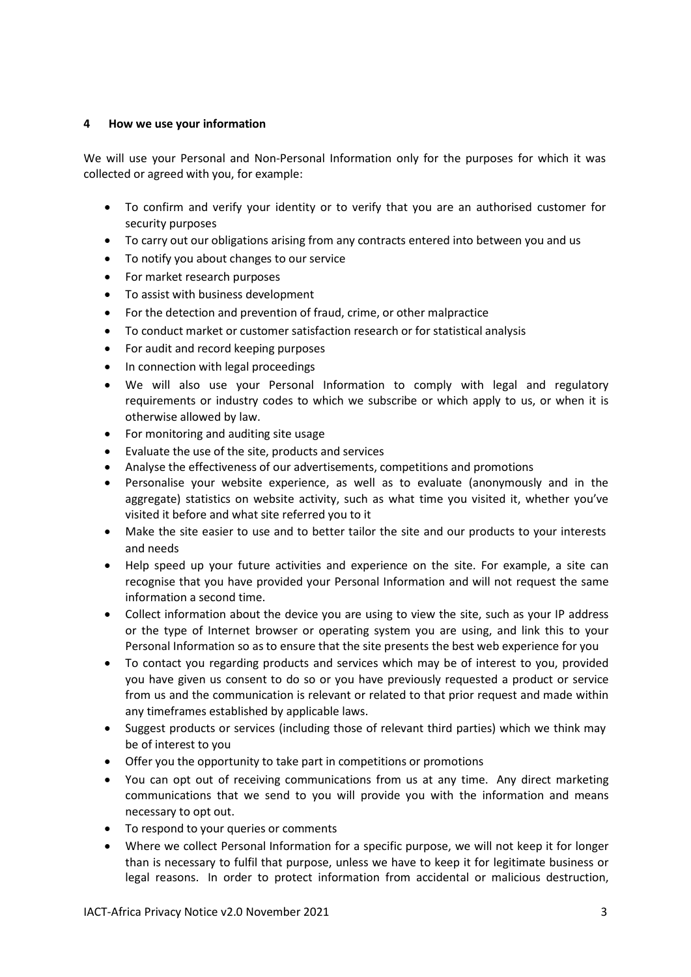## **4 How we use your information**

We will use your Personal and Non-Personal Information only for the purposes for which it was collected or agreed with you, for example:

- To confirm and verify your identity or to verify that you are an authorised customer for security purposes
- To carry out our obligations arising from any contracts entered into between you and us
- To notify you about changes to our service
- For market research purposes
- To assist with business development
- For the detection and prevention of fraud, crime, or other malpractice
- To conduct market or customer satisfaction research or for statistical analysis
- For audit and record keeping purposes
- In connection with legal proceedings
- We will also use your Personal Information to comply with legal and regulatory requirements or industry codes to which we subscribe or which apply to us, or when it is otherwise allowed by law.
- For monitoring and auditing site usage
- Evaluate the use of the site, products and services
- Analyse the effectiveness of our advertisements, competitions and promotions
- Personalise your website experience, as well as to evaluate (anonymously and in the aggregate) statistics on website activity, such as what time you visited it, whether you've visited it before and what site referred you to it
- Make the site easier to use and to better tailor the site and our products to your interests and needs
- Help speed up your future activities and experience on the site. For example, a site can recognise that you have provided your Personal Information and will not request the same information a second time.
- Collect information about the device you are using to view the site, such as your IP address or the type of Internet browser or operating system you are using, and link this to your Personal Information so as to ensure that the site presents the best web experience for you
- To contact you regarding products and services which may be of interest to you, provided you have given us consent to do so or you have previously requested a product or service from us and the communication is relevant or related to that prior request and made within any timeframes established by applicable laws.
- Suggest products or services (including those of relevant third parties) which we think may be of interest to you
- Offer you the opportunity to take part in competitions or promotions
- You can opt out of receiving communications from us at any time. Any direct marketing communications that we send to you will provide you with the information and means necessary to opt out.
- To respond to your queries or comments
- Where we collect Personal Information for a specific purpose, we will not keep it for longer than is necessary to fulfil that purpose, unless we have to keep it for legitimate business or legal reasons. In order to protect information from accidental or malicious destruction,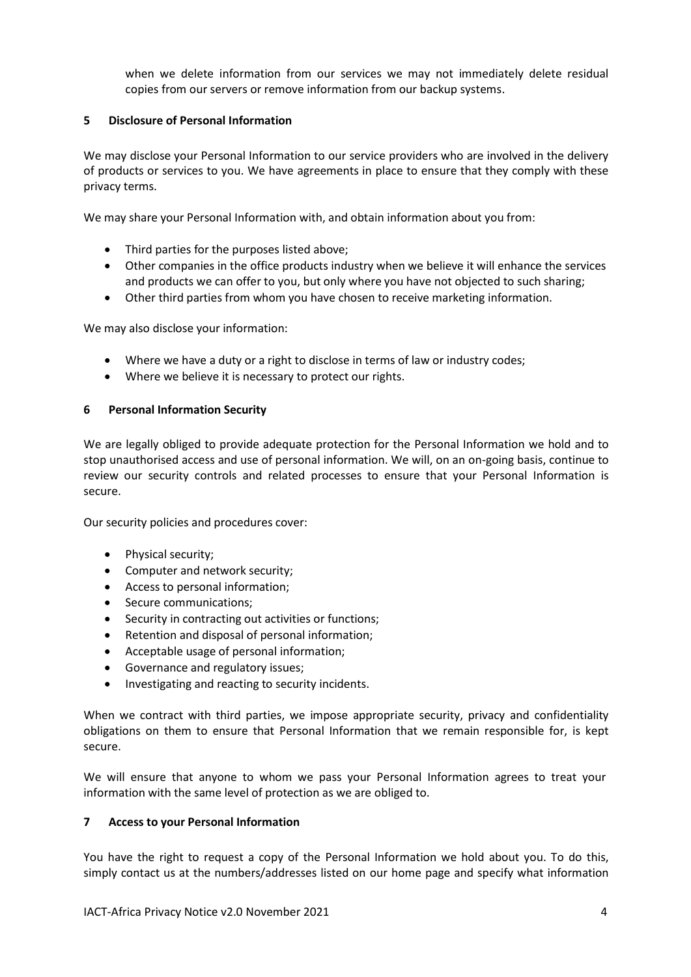when we delete information from our services we may not immediately delete residual copies from our servers or remove information from our backup systems.

## **5 Disclosure of Personal Information**

We may disclose your Personal Information to our service providers who are involved in the delivery of products or services to you. We have agreements in place to ensure that they comply with these privacy terms.

We may share your Personal Information with, and obtain information about you from:

- Third parties for the purposes listed above;
- Other companies in the office products industry when we believe it will enhance the services and products we can offer to you, but only where you have not objected to such sharing;
- Other third parties from whom you have chosen to receive marketing information.

We may also disclose your information:

- Where we have a duty or a right to disclose in terms of law or industry codes;
- Where we believe it is necessary to protect our rights.

#### **6 Personal Information Security**

We are legally obliged to provide adequate protection for the Personal Information we hold and to stop unauthorised access and use of personal information. We will, on an on-going basis, continue to review our security controls and related processes to ensure that your Personal Information is secure.

Our security policies and procedures cover:

- Physical security;
- Computer and network security;
- Access to personal information;
- Secure communications;
- Security in contracting out activities or functions;
- Retention and disposal of personal information;
- Acceptable usage of personal information;
- Governance and regulatory issues;
- Investigating and reacting to security incidents.

When we contract with third parties, we impose appropriate security, privacy and confidentiality obligations on them to ensure that Personal Information that we remain responsible for, is kept secure.

We will ensure that anyone to whom we pass your Personal Information agrees to treat your information with the same level of protection as we are obliged to.

#### **7 Access to your Personal Information**

You have the right to request a copy of the Personal Information we hold about you. To do this, simply contact us at the numbers/addresses listed on our home page and specify what information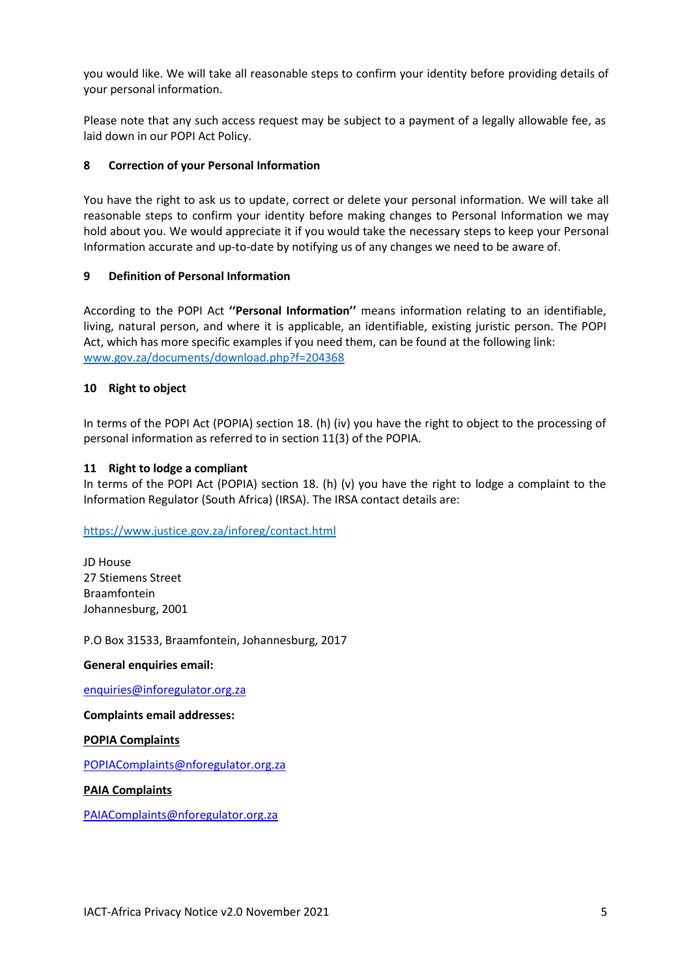you would like. We will take all reasonable steps to confirm your identity before providing details of your personal information.

Please note that any such access request may be subject to a payment of a legally allowable fee, as laid down in our POPI Act Policy.

## **8 Correction of your Personal Information**

You have the right to ask us to update, correct or delete your personal information. We will take all reasonable steps to confirm your identity before making changes to Personal Information we may hold about you. We would appreciate it if you would take the necessary steps to keep your Personal Information accurate and up-to-date by notifying us of any changes we need to be aware of.

## **9 Definition of Personal Information**

According to the POPI Act **''Personal Information''** means information relating to an identifiable, living, natural person, and where it is applicable, an identifiable, existing juristic person. The POPI Act, which has more specific examples if you need them, can be found at the following link: [www.gov.za/documents/download.php?f=204368](http://www.gov.za/documents/download.php?f=204368)

## **10 Right to object**

In terms of the POPI Act (POPIA) section 18. (h) (iv) you have the right to object to the processing of personal information as referred to in section 11(3) of the POPIA.

#### **11 Right to lodge a compliant**

In terms of the POPI Act (POPIA) section 18. (h) (v) you have the right to lodge a complaint to the Information Regulator (South Africa) (IRSA). The IRSA contact details are:

<https://www.justice.gov.za/inforeg/contact.html>

JD House 27 Stiemens Street Braamfontein Johannesburg, 2001

P.O Box 31533, Braamfontein, Johannesburg, 2017

#### **General enquiries email:**

[enquiries@inforegulator.org.za](mailto:enquiries@inforegulator.org.za)

**Complaints email addresses:** 

**POPIA Complaints**

[POPIAComplaints@nforegulator.org.za](mailto:POPIAComplaints@nforegulator.org.za) 

**PAIA Complaints**

[PAIAComplaints@nforegulator.org.za](mailto:PAIAComplaints@nforegulator.org.za)